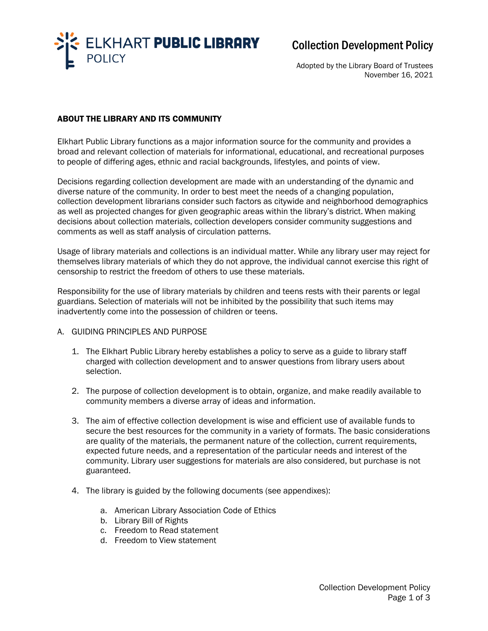

# Collection Development Policy

Adopted by the Library Board of Trustees November 16, 2021

# ABOUT THE LIBRARY AND ITS COMMUNITY

Elkhart Public Library functions as a major information source for the community and provides a broad and relevant collection of materials for informational, educational, and recreational purposes to people of differing ages, ethnic and racial backgrounds, lifestyles, and points of view.

Decisions regarding collection development are made with an understanding of the dynamic and diverse nature of the community. In order to best meet the needs of a changing population, collection development librarians consider such factors as citywide and neighborhood demographics as well as projected changes for given geographic areas within the library's district. When making decisions about collection materials, collection developers consider community suggestions and comments as well as staff analysis of circulation patterns.

Usage of library materials and collections is an individual matter. While any library user may reject for themselves library materials of which they do not approve, the individual cannot exercise this right of censorship to restrict the freedom of others to use these materials.  

Responsibility for the use of library materials by children and teens rests with their parents or legal guardians. Selection of materials will not be inhibited by the possibility that such items may inadvertently come into the possession of children or teens.

# A. GUIDING PRINCIPLES AND PURPOSE

- 1. The Elkhart Public Library hereby establishes a policy to serve as a guide to library staff charged with collection development and to answer questions from library users about selection.
- 2. The purpose of collection development is to obtain, organize, and make readily available to community members a diverse array of ideas and information.
- 3. The aim of effective collection development is wise and efficient use of available funds to secure the best resources for the community in a variety of formats. The basic considerations are quality of the materials, the permanent nature of the collection, current requirements, expected future needs, and a representation of the particular needs and interest of the community. Library user suggestions for materials are also considered, but purchase is not guaranteed.
- 4. The library is guided by the following documents (see appendixes):
	- a. American Library Association Code of Ethics
	- b. Library Bill of Rights
	- c. Freedom to Read statement
	- d. Freedom to View statement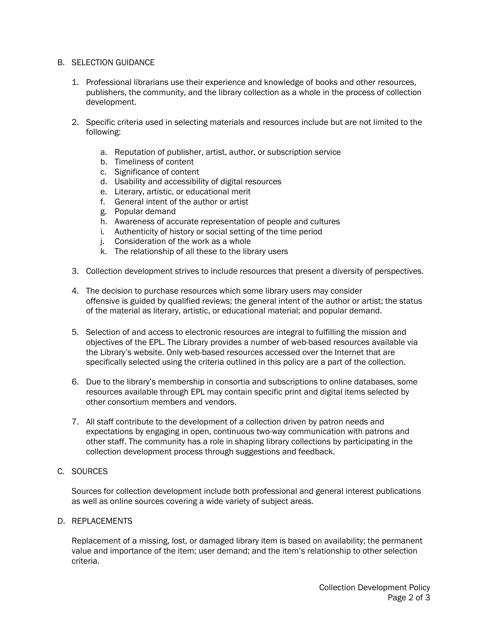#### B. SELECTION GUIDANCE

- 1. Professional librarians use their experience and knowledge of books and other resources, publishers, the community, and the library collection as a whole in the process of collection development.
- 2. Specific criteria used in selecting materials and resources include but are not limited to the following:
	- a. Reputation of publisher, artist, author, or subscription service
	- b. Timeliness of content
	- c. Significance of content
	- d. Usability and accessibility of digital resources
	- e. Literary, artistic, or educational merit
	- f. General intent of the author or artist
	- g. Popular demand
	- h. Awareness of accurate representation of people and cultures
	- i. Authenticity of history or social setting of the time period
	- j. Consideration of the work as a whole
	- k. The relationship of all these to the library users
- 3. Collection development strives to include resources that present a diversity of perspectives.
- 4. The decision to purchase resources which some library users may consider offensive is guided by qualified reviews; the general intent of the author or artist; the status of the material as literary, artistic, or educational material; and popular demand.
- 5. Selection of and access to electronic resources are integral to fulfilling the mission and objectives of the EPL. The Library provides a number of web-based resources available via the Library's website. Only web-based resources accessed over the Internet that are specifically selected using the criteria outlined in this policy are a part of the collection.
- 6. Due to the library's membership in consortia and subscriptions to online databases, some resources available through EPL may contain specific print and digital items selected by other consortium members and vendors.
- 7. All staff contribute to the development of a collection driven by patron needs and expectations by engaging in open, continuous two-way communication with patrons and other staff. The community has a role in shaping library collections by participating in the collection development process through suggestions and feedback.
- C. SOURCES

Sources for collection development include both professional and general interest publications as well as online sources covering a wide variety of subject areas.

D. REPLACEMENTS

Replacement of a missing, lost, or damaged library item is based on availability; the permanent value and importance of the item; user demand; and the item's relationship to other selection criteria.